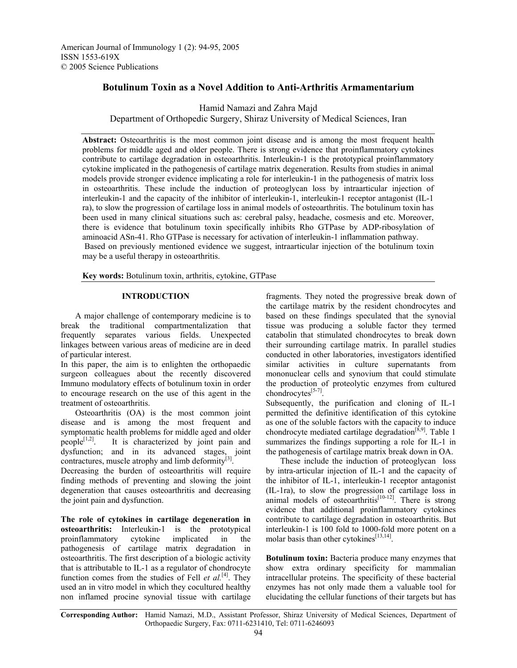## **Botulinum Toxin as a Novel Addition to Anti-Arthritis Armamentarium**

Hamid Namazi and Zahra Majd

Department of Orthopedic Surgery, Shiraz University of Medical Sciences, Iran

**Abstract:** Osteoarthritis is the most common joint disease and is among the most frequent health problems for middle aged and older people. There is strong evidence that proinflammatory cytokines contribute to cartilage degradation in osteoarthritis. Interleukin-1 is the prototypical proinflammatory cytokine implicated in the pathogenesis of cartilage matrix degeneration. Results from studies in animal models provide stronger evidence implicating a role for interleukin-1 in the pathogenesis of matrix loss in osteoarthritis. These include the induction of proteoglycan loss by intraarticular injection of interleukin-1 and the capacity of the inhibitor of interleukin-1, interleukin-1 receptor antagonist (IL-1 ra), to slow the progression of cartilage loss in animal models of osteoarthritis. The botulinum toxin has been used in many clinical situations such as: cerebral palsy, headache, cosmesis and etc. Moreover, there is evidence that botulinum toxin specifically inhibits Rho GTPase by ADP-ribosylation of aminoacid ASn-41. Rho GTPase is necessary for activation of interleukin-1 inflammation pathway. Based on previously mentioned evidence we suggest, intraarticular injection of the botulinum toxin may be a useful therapy in osteoarthritis.

**Key words:** Botulinum toxin, arthritis, cytokine, GTPase

## **INTRODUCTION**

 A major challenge of contemporary medicine is to break the traditional compartmentalization that frequently separates various fields. Unexpected linkages between various areas of medicine are in deed of particular interest.

In this paper, the aim is to enlighten the orthopaedic surgeon colleagues about the recently discovered Immuno modulatory effects of botulinum toxin in order to encourage research on the use of this agent in the treatment of osteoarthritis.

 Osteoarthritis (OA) is the most common joint disease and is among the most frequent and symptomatic health problems for middle aged and older people $[1,2]$ . It is characterized by joint pain and dysfunction; and in its advanced stages, joint contractures, muscle atrophy and limb deformity $^{[3]}$ .

Decreasing the burden of osteoarthritis will require finding methods of preventing and slowing the joint degeneration that causes osteoarthritis and decreasing the joint pain and dysfunction.

**The role of cytokines in cartilage degeneration in osteoarthritis:** Interleukin-1 is the prototypical proinflammatory cytokine implicated in the pathogenesis of cartilage matrix degradation in osteoarthritis. The first description of a biologic activity that is attributable to IL-1 as a regulator of chondrocyte function comes from the studies of Fell *et al.*<sup>[4]</sup>. They used an in vitro model in which they cocultured healthy non inflamed procine synovial tissue with cartilage fragments. They noted the progressive break down of the cartilage matrix by the resident chondrocytes and based on these findings speculated that the synovial tissue was producing a soluble factor they termed catabolin that stimulated chondrocytes to break down their surrounding cartilage matrix. In parallel studies conducted in other laboratories, investigators identified similar activities in culture supernatants from mononuclear cells and synovium that could stimulate the production of proteolytic enzymes from cultured chondrocytes $[5-7]$ .

Subsequently, the purification and cloning of IL-1 permitted the definitive identification of this cytokine as one of the soluble factors with the capacity to induce chondrocyte mediated cartilage degradation<sup>[8,9]</sup>. Table 1 summarizes the findings supporting a role for IL-1 in the pathogenesis of cartilage matrix break down in OA.

 These include the induction of proteoglycan loss by intra-articular injection of IL-1 and the capacity of the inhibitor of IL-1, interleukin-1 receptor antagonist (IL-1ra), to slow the progression of cartilage loss in animal models of osteoarthritis $[10-12]$ . There is strong evidence that additional proinflammatory cytokines contribute to cartilage degradation in osteoarthritis. But interleukin-1 is 100 fold to 1000-fold more potent on a molar basis than other cytokines<sup>[13,14]</sup>.

**Botulinum toxin:** Bacteria produce many enzymes that show extra ordinary specificity for mammalian intracellular proteins. The specificity of these bacterial enzymes has not only made them a valuable tool for elucidating the cellular functions of their targets but has

**Corresponding Author:** Hamid Namazi, M.D., Assistant Professor, Shiraz University of Medical Sciences, Department of Orthopaedic Surgery, Fax: 0711-6231410, Tel: 0711-6246093